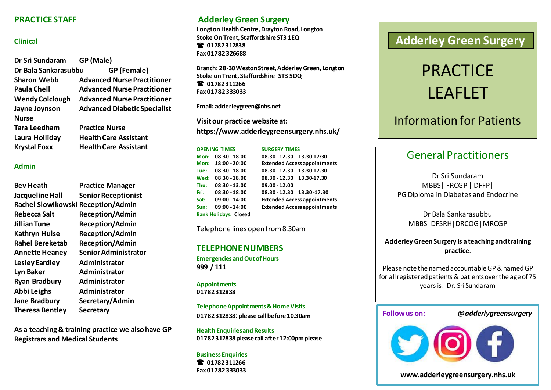#### **PRACTICE STAFF**

#### **Clinical**

| Dr Sri Sundaram        | GP (Male)                           |
|------------------------|-------------------------------------|
| Dr Bala Sankarasubbu   | GP (Female)                         |
| <b>Sharon Webb</b>     | <b>Advanced Nurse Practitioner</b>  |
| Paula Chell            | <b>Advanced Nurse Practitioner</b>  |
| <b>Wendy Colclough</b> | <b>Advanced Nurse Practitioner</b>  |
| Jayne Joynson          | <b>Advanced Diabetic Specialist</b> |
| <b>Nurse</b>           |                                     |
| Tara Leedham           | <b>Practice Nurse</b>               |
| Laura Holliday         | <b>Health Care Assistant</b>        |
| <b>Krystal Foxx</b>    | <b>Health Care Assistant</b>        |

#### **Admin**

| Bev Heath                          | <b>Practice Manager</b>     |
|------------------------------------|-----------------------------|
| Jacqueline Hall                    | <b>Senior Receptionist</b>  |
| Rachel Slowikowski Reception/Admin |                             |
| Rebecca Salt                       | <b>Reception/Admin</b>      |
| Jillian Tune                       | <b>Reception/Admin</b>      |
| Kathryn Hulse                      | <b>Reception/Admin</b>      |
| <b>Rahel Bereketab</b>             | <b>Reception/Admin</b>      |
| <b>Annette Heaney</b>              | <b>Senior Administrator</b> |
| Lesley Eardley                     | Administrator               |
| Lyn Baker                          | Administrator               |
| <b>Ryan Bradbury</b>               | Administrator               |
| Abbi Leighs                        | Administrator               |
| Jane Bradbury                      | Secretary/Admin             |
| Theresa Bentley                    | <b>Secretary</b>            |

**As a teaching & training practice we also have GP Registrars and Medical Students**

## **Adderley Green Surgery**

**Longton Health Centre, Drayton Road, Longton Stoke On Trent, StaffordshireST3 1EQ 01782 312838 Fax 01782 326688**

**Branch: 28-30 Weston Street, Adderley Green, Longton Stoke on Trent, Staffordshire ST3 5DQ 01782 311266 Fax 01782 333033**

**Email[: adderleygreen@nhs.net](mailto:adderleygreen@nhs.net)**

**Visit our practice website at: https://www.adderleygreensurgery.nhs.uk/**

#### **OPENING TIMES SURGERY TIMES Mon: 08.30 - 18.00 08.30 - 12.30 13.30-17:30 Mon: 18:00 - 20:00 Extended Access appointments Tue: 08.30 - 18.00 08.30 - 12.30 13.30-17.30 Wed: 08.30 - 18.00 08.30 - 12.30 13.30-17.30 Thu: 08.30 - 13.00 09.00 - 12.00 Fri: 08:30 - 18:00 08.30 - 12.30 13.30 -17.30 Sat: 09:00 - 14:00 Extended Access appointments Sun: 09:00 - 14:00 Extended Access appointments Bank Holidays: Closed**

Telephone lines open from 8.30am

#### **TELEPHONE NUMBERS**

**Emergencies and Out of Hours 999 / 111**

**Appointments 01782 312838**

**Telephone Appointments & Home Visits 01782 312838**: **please call before 10.30am**

**Health Enquiries and Results 01782 312838 please call after 12:00pm please**

#### **Business Enquiries 01782 311266 Fax 01782 333033**

# **Adderley Green Surgery**

# PRACTICE LEAFLET

# Information for Patients

## General Practitioners

Dr Sri Sundaram MBBS| FRCGP | DFFP| PG Diploma in Diabetes and Endocrine

Dr Bala Sankarasubbu MBBS|DFSRH|DRCOG|MRCGP

#### **Adderley Green Surgery is a teaching and training practice**.

Please note the named accountable GP & named GP for all registered patients & patients over the age of 75 years is: Dr. Sri Sundaram

#### **Follow us on:** *@adderlygreensurgery*



**www.adderleygreensurgery.nhs.uk**